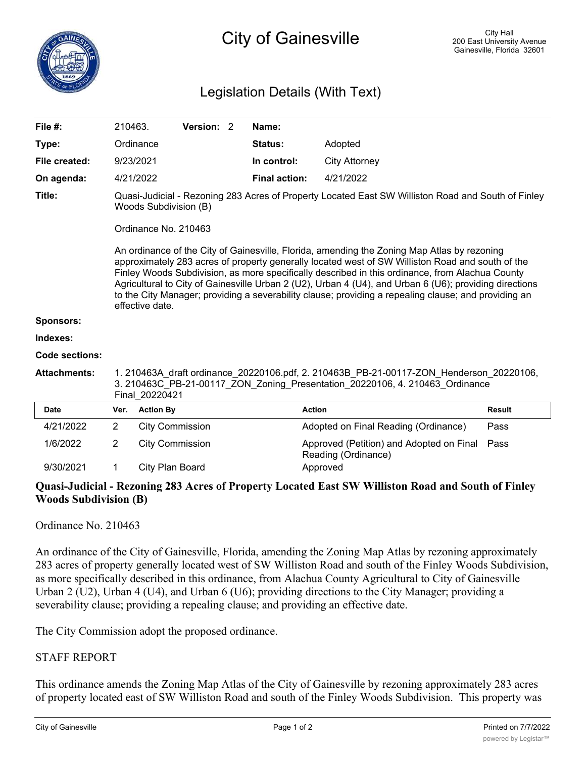## Legislation Details (With Text)

| File #:             | 210463.                                                                                                                                                                                                                                                                                                                                                                                                                                                                                                                                                                                                                                                                                        |                        | Version: 2 |  | Name:                |                                                                 |               |
|---------------------|------------------------------------------------------------------------------------------------------------------------------------------------------------------------------------------------------------------------------------------------------------------------------------------------------------------------------------------------------------------------------------------------------------------------------------------------------------------------------------------------------------------------------------------------------------------------------------------------------------------------------------------------------------------------------------------------|------------------------|------------|--|----------------------|-----------------------------------------------------------------|---------------|
| Type:               |                                                                                                                                                                                                                                                                                                                                                                                                                                                                                                                                                                                                                                                                                                | Ordinance              |            |  | <b>Status:</b>       | Adopted                                                         |               |
| File created:       |                                                                                                                                                                                                                                                                                                                                                                                                                                                                                                                                                                                                                                                                                                | 9/23/2021              |            |  | In control:          | City Attorney                                                   |               |
| On agenda:          |                                                                                                                                                                                                                                                                                                                                                                                                                                                                                                                                                                                                                                                                                                | 4/21/2022              |            |  | <b>Final action:</b> | 4/21/2022                                                       |               |
| Title:              | Quasi-Judicial - Rezoning 283 Acres of Property Located East SW Williston Road and South of Finley<br>Woods Subdivision (B)<br>Ordinance No. 210463<br>An ordinance of the City of Gainesville, Florida, amending the Zoning Map Atlas by rezoning<br>approximately 283 acres of property generally located west of SW Williston Road and south of the<br>Finley Woods Subdivision, as more specifically described in this ordinance, from Alachua County<br>Agricultural to City of Gainesville Urban 2 (U2), Urban 4 (U4), and Urban 6 (U6); providing directions<br>to the City Manager; providing a severability clause; providing a repealing clause; and providing an<br>effective date. |                        |            |  |                      |                                                                 |               |
| <b>Sponsors:</b>    |                                                                                                                                                                                                                                                                                                                                                                                                                                                                                                                                                                                                                                                                                                |                        |            |  |                      |                                                                 |               |
| Indexes:            |                                                                                                                                                                                                                                                                                                                                                                                                                                                                                                                                                                                                                                                                                                |                        |            |  |                      |                                                                 |               |
| Code sections:      |                                                                                                                                                                                                                                                                                                                                                                                                                                                                                                                                                                                                                                                                                                |                        |            |  |                      |                                                                 |               |
| <b>Attachments:</b> | 1. 210463A draft ordinance 20220106.pdf, 2. 210463B PB-21-00117-ZON Henderson 20220106,<br>3. 210463C PB-21-00117 ZON Zoning Presentation 20220106, 4. 210463 Ordinance<br>Final 20220421                                                                                                                                                                                                                                                                                                                                                                                                                                                                                                      |                        |            |  |                      |                                                                 |               |
| <b>Date</b>         | Ver.                                                                                                                                                                                                                                                                                                                                                                                                                                                                                                                                                                                                                                                                                           | <b>Action By</b>       |            |  | <b>Action</b>        |                                                                 | <b>Result</b> |
| 4/21/2022           | 2                                                                                                                                                                                                                                                                                                                                                                                                                                                                                                                                                                                                                                                                                              | <b>City Commission</b> |            |  |                      | Adopted on Final Reading (Ordinance)                            | Pass          |
| 1/6/2022            | $\overline{2}$                                                                                                                                                                                                                                                                                                                                                                                                                                                                                                                                                                                                                                                                                 | <b>City Commission</b> |            |  |                      | Approved (Petition) and Adopted on Final<br>Reading (Ordinance) | Pass          |
| 9/30/2021           | 1                                                                                                                                                                                                                                                                                                                                                                                                                                                                                                                                                                                                                                                                                              | City Plan Board        |            |  |                      | Approved                                                        |               |

## **Quasi-Judicial - Rezoning 283 Acres of Property Located East SW Williston Road and South of Finley Woods Subdivision (B)**

## Ordinance No. 210463

An ordinance of the City of Gainesville, Florida, amending the Zoning Map Atlas by rezoning approximately 283 acres of property generally located west of SW Williston Road and south of the Finley Woods Subdivision, as more specifically described in this ordinance, from Alachua County Agricultural to City of Gainesville Urban 2 (U2), Urban 4 (U4), and Urban 6 (U6); providing directions to the City Manager; providing a severability clause; providing a repealing clause; and providing an effective date.

The City Commission adopt the proposed ordinance.

## STAFF REPORT

This ordinance amends the Zoning Map Atlas of the City of Gainesville by rezoning approximately 283 acres of property located east of SW Williston Road and south of the Finley Woods Subdivision. This property was